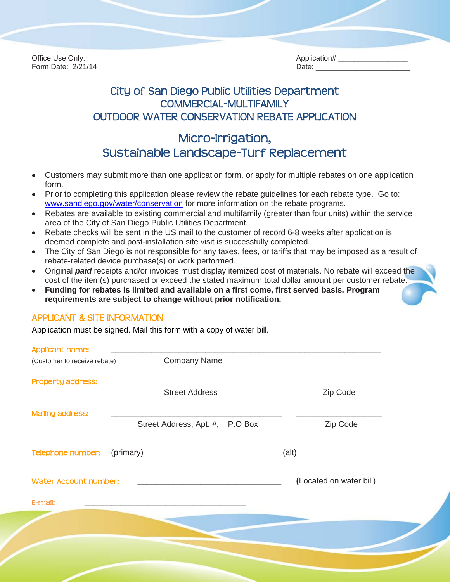| Office Use Only:<br>Form Date: 2/21/14 | Application#:<br>Date: |  |
|----------------------------------------|------------------------|--|

## City of San Diego Public Utilities Department COMMERCIAL-MULTIFAMILY OUTDOOR WATER CONSERVATION REBATE APPLICATION

# Micro-Irrigation, Sustainable Landscape-Turf Replacement

- Customers may submit more than one application form, or apply for multiple rebates on one application form.
- Prior to completing this application please review the rebate guidelines for each rebate type. Go to: [www.sandiego.gov/water/conservation](http://www.sandiego.gov/water/conservation) for more information on the rebate programs.
- Rebates are available to existing commercial and multifamily (greater than four units) within the service area of the City of San Diego Public Utilities Department.
- Rebate checks will be sent in the US mail to the customer of record 6-8 weeks after application is deemed complete and post-installation site visit is successfully completed.
- The City of San Diego is not responsible for any taxes, fees, or tariffs that may be imposed as a result of rebate-related device purchase(s) or work performed.
- Original *paid* receipts and/or invoices must display itemized cost of materials. No rebate will exceed the cost of the item(s) purchased or exceed the stated maximum total dollar amount per customer rebate.
- **Funding for rebates is limited and available on a first come, first served basis. Program requirements are subject to change without prior notification.**

#### APPLICANT & SITE INFORMATION

Application must be signed. Mail this form with a copy of water bill.

| Applicant name:              |                                 |                             |
|------------------------------|---------------------------------|-----------------------------|
| (Customer to receive rebate) | <b>Company Name</b>             |                             |
| Property address:            |                                 |                             |
|                              | <b>Street Address</b>           | Zip Code                    |
| <b>Mailing address:</b>      |                                 |                             |
|                              | Street Address, Apt. #, P.O Box | Zip Code                    |
|                              |                                 |                             |
| Telephone number:            |                                 | $\left( \text{alt} \right)$ |
|                              |                                 |                             |
| Water Account number:        |                                 | (Located on water bill)     |
| E-mail:                      |                                 |                             |
|                              |                                 |                             |
|                              |                                 |                             |
|                              |                                 |                             |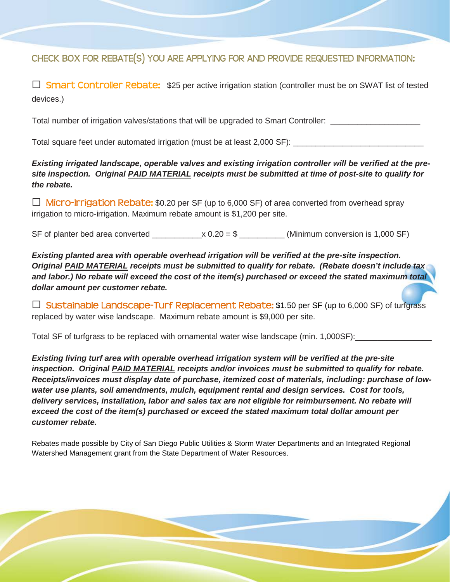## CHECK BOX FOR REBATE(S) YOU ARE APPLYING FOR AND PROVIDE REQUESTED INFORMATION:

**□** Smart Controller Rebate:\$25 per active irrigation station (controller must be on SWAT list of tested devices.)

Total number of irrigation valves/stations that will be upgraded to Smart Controller: \_\_\_\_\_\_\_\_\_\_\_\_\_

Total square feet under automated irrigation (must be at least 2,000 SF): \_\_\_\_\_\_\_\_\_\_\_\_\_\_\_\_\_\_\_\_\_\_\_\_\_\_\_\_\_

*Existing irrigated landscape, operable valves and existing irrigation controller will be verified at the presite inspection. Original PAID MATERIAL receipts must be submitted at time of post-site to qualify for the rebate.*

**□** Micro-Irrigation Rebate: \$0.20 per SF (up to 6,000 SF) of area converted from overhead spray irrigation to micro-irrigation. Maximum rebate amount is \$1,200 per site.

SF of planter bed area converted  $\_\_\_\_\_x 0.20 = $ \_\_\_\_\_\_w$  (Minimum conversion is 1,000 SF)

*Existing planted area with operable overhead irrigation will be verified at the pre-site inspection. Original PAID MATERIAL receipts must be submitted to qualify for rebate. (Rebate doesn't include tax and labor.) No rebate will exceed the cost of the item(s) purchased or exceed the stated maximum total dollar amount per customer rebate.*

 $\Box$  Sustainable Landscape-Turf Replacement Rebate: \$1.50 per SF (up to 6,000 SF) of turfgrass replaced by water wise landscape. Maximum rebate amount is \$9,000 per site.

Total SF of turfgrass to be replaced with ornamental water wise landscape (min. 1,000SF):

*Existing living turf area with operable overhead irrigation system will be verified at the pre-site inspection. Original PAID MATERIAL receipts and/or invoices must be submitted to qualify for rebate. Receipts/invoices must display date of purchase, itemized cost of materials, including: purchase of lowwater use plants, soil amendments, mulch, equipment rental and design services. Cost for tools, delivery services, installation, labor and sales tax are not eligible for reimbursement. No rebate will exceed the cost of the item(s) purchased or exceed the stated maximum total dollar amount per customer rebate.*

Rebates made possible by City of San Diego Public Utilities & Storm Water Departments and an Integrated Regional Watershed Management grant from the State Department of Water Resources.